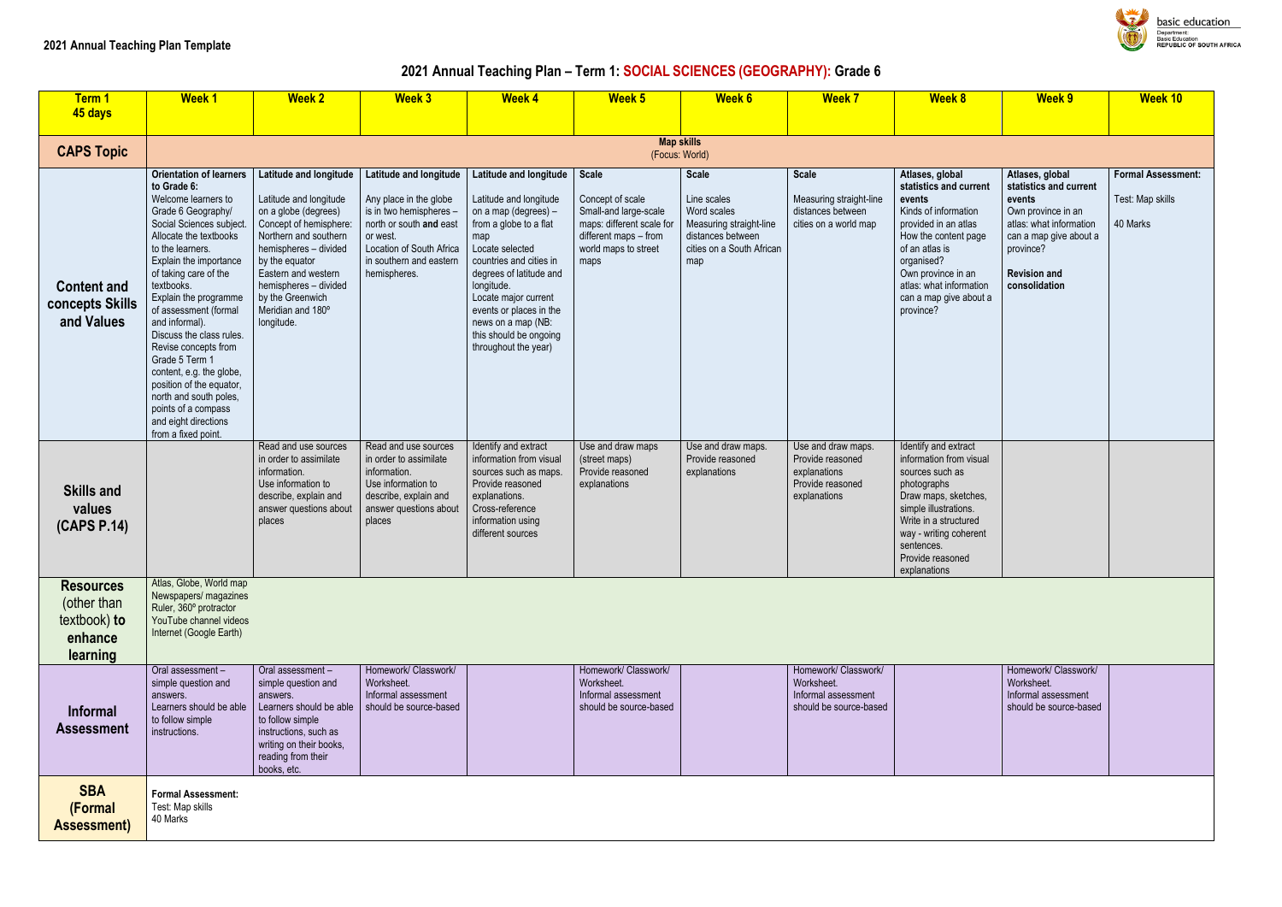#### **2021 Annual Teaching Plan – Term 1: SOCIAL SCIENCES (GEOGRAPHY): Grade 6**

| Term 1                                                                 | <b>Week1</b>                                                                                                                                                                                                                                                                                                                                                                                                                                                                                                                            | <b>Week 2</b>                                                                                                                                                                                                                                                                 | <b>Week 3</b>                                                                                                                                                                             | <b>Week 4</b>                                                                                                                                                                                                                                                                                                               | Week 5                                                                                                                                          | <b>Week 6</b>                                                                                                                  | <b>Week 7</b>                                                                              | <b>Week 8</b>                                                                                                                                                                                                                                       | <b>Week 9</b>                                                                                                                                                                       | <b>Week 10</b>                                        |
|------------------------------------------------------------------------|-----------------------------------------------------------------------------------------------------------------------------------------------------------------------------------------------------------------------------------------------------------------------------------------------------------------------------------------------------------------------------------------------------------------------------------------------------------------------------------------------------------------------------------------|-------------------------------------------------------------------------------------------------------------------------------------------------------------------------------------------------------------------------------------------------------------------------------|-------------------------------------------------------------------------------------------------------------------------------------------------------------------------------------------|-----------------------------------------------------------------------------------------------------------------------------------------------------------------------------------------------------------------------------------------------------------------------------------------------------------------------------|-------------------------------------------------------------------------------------------------------------------------------------------------|--------------------------------------------------------------------------------------------------------------------------------|--------------------------------------------------------------------------------------------|-----------------------------------------------------------------------------------------------------------------------------------------------------------------------------------------------------------------------------------------------------|-------------------------------------------------------------------------------------------------------------------------------------------------------------------------------------|-------------------------------------------------------|
| 45 days                                                                |                                                                                                                                                                                                                                                                                                                                                                                                                                                                                                                                         |                                                                                                                                                                                                                                                                               |                                                                                                                                                                                           |                                                                                                                                                                                                                                                                                                                             |                                                                                                                                                 |                                                                                                                                |                                                                                            |                                                                                                                                                                                                                                                     |                                                                                                                                                                                     |                                                       |
| <b>CAPS Topic</b>                                                      |                                                                                                                                                                                                                                                                                                                                                                                                                                                                                                                                         |                                                                                                                                                                                                                                                                               |                                                                                                                                                                                           |                                                                                                                                                                                                                                                                                                                             | (Focus: World)                                                                                                                                  | <b>Map skills</b>                                                                                                              |                                                                                            |                                                                                                                                                                                                                                                     |                                                                                                                                                                                     |                                                       |
| <b>Content and</b><br>concepts Skills<br>and Values                    | <b>Orientation of learners</b><br>to Grade 6:<br>Welcome learners to<br>Grade 6 Geography/<br>Social Sciences subject.<br>Allocate the textbooks<br>to the learners.<br>Explain the importance<br>of taking care of the<br>textbooks.<br>Explain the programme<br>of assessment (formal<br>and informal).<br>Discuss the class rules.<br>Revise concepts from<br>Grade 5 Term 1<br>content, e.g. the globe,<br>position of the equator,<br>north and south poles,<br>points of a compass<br>and eight directions<br>from a fixed point. | Latitude and longitude<br>Latitude and longitude<br>on a globe (degrees)<br>Concept of hemisphere:<br>Northern and southern<br>hemispheres - divided<br>by the equator<br>Eastern and western<br>hemispheres - divided<br>by the Greenwich<br>Meridian and 180°<br>longitude. | Latitude and longitude<br>Any place in the globe<br>is in two hemispheres -<br>north or south and east<br>or west.<br>Location of South Africa<br>in southern and eastern<br>hemispheres. | Latitude and longitude<br>Latitude and longitude<br>on a map (degrees) -<br>from a globe to a flat<br>map<br>Locate selected<br>countries and cities in<br>degrees of latitude and<br>longitude.<br>Locate major current<br>events or places in the<br>news on a map (NB:<br>this should be ongoing<br>throughout the year) | <b>Scale</b><br>Concept of scale<br>Small-and large-scale<br>maps: different scale for<br>different maps - from<br>world maps to street<br>maps | <b>Scale</b><br>Line scales<br>Word scales<br>Measuring straight-line<br>distances between<br>cities on a South African<br>map | <b>Scale</b><br>Measuring straight-line<br>distances between<br>cities on a world map      | Atlases, global<br>statistics and current<br>events<br>Kinds of information<br>provided in an atlas<br>How the content page<br>of an atlas is<br>organised?<br>Own province in an<br>atlas: what information<br>can a map give about a<br>province? | Atlases, global<br>statistics and current<br>events<br>Own province in an<br>atlas: what information<br>can a map give about a<br>province?<br><b>Revision and</b><br>consolidation | <b>Formal Assessn</b><br>Test: Map skills<br>40 Marks |
| <b>Skills and</b><br>values<br>(CAPS P.14)                             |                                                                                                                                                                                                                                                                                                                                                                                                                                                                                                                                         | Read and use sources<br>in order to assimilate<br>information.<br>Use information to<br>describe, explain and<br>answer questions about<br>places                                                                                                                             | Read and use sources<br>in order to assimilate<br>information.<br>Use information to<br>describe, explain and<br>answer questions about<br>places                                         | Identify and extract<br>information from visual<br>sources such as maps.<br>Provide reasoned<br>explanations.<br>Cross-reference<br>information using<br>different sources                                                                                                                                                  | Use and draw maps<br>(street maps)<br>Provide reasoned<br>explanations                                                                          | Use and draw maps.<br>Provide reasoned<br>explanations                                                                         | Use and draw maps.<br>Provide reasoned<br>explanations<br>Provide reasoned<br>explanations | Identify and extract<br>information from visual<br>sources such as<br>photographs<br>Draw maps, sketches,<br>simple illustrations.<br>Write in a structured<br>way - writing coherent<br>sentences.<br>Provide reasoned<br>explanations             |                                                                                                                                                                                     |                                                       |
| <b>Resources</b><br>(other than<br>textbook) to<br>enhance<br>learning | Atlas, Globe, World map<br>Newspapers/ magazines<br>Ruler, 360° protractor<br>YouTube channel videos<br>Internet (Google Earth)                                                                                                                                                                                                                                                                                                                                                                                                         |                                                                                                                                                                                                                                                                               |                                                                                                                                                                                           |                                                                                                                                                                                                                                                                                                                             |                                                                                                                                                 |                                                                                                                                |                                                                                            |                                                                                                                                                                                                                                                     |                                                                                                                                                                                     |                                                       |
| Informal<br><b>Assessment</b>                                          | Oral assessment-<br>simple question and<br>answers.<br>Learners should be able<br>to follow simple<br>instructions.                                                                                                                                                                                                                                                                                                                                                                                                                     | Oral assessment -<br>simple question and<br>answers.<br>Learners should be able<br>to follow simple<br>instructions, such as<br>writing on their books,<br>reading from their<br>books, etc.                                                                                  | Homework/ Classwork/<br>Worksheet.<br>Informal assessment<br>should be source-based                                                                                                       |                                                                                                                                                                                                                                                                                                                             | Homework/ Classwork/<br>Worksheet.<br>Informal assessment<br>should be source-based                                                             |                                                                                                                                | Homework/ Classwork/<br>Worksheet.<br>Informal assessment<br>should be source-based        |                                                                                                                                                                                                                                                     | Homework/ Classwork/<br>Worksheet.<br>Informal assessment<br>should be source-based                                                                                                 |                                                       |
| <b>SBA</b><br>(Formal<br><b>Assessment</b> )                           | <b>Formal Assessment:</b><br>Test: Map skills<br>40 Marks                                                                                                                                                                                                                                                                                                                                                                                                                                                                               |                                                                                                                                                                                                                                                                               |                                                                                                                                                                                           |                                                                                                                                                                                                                                                                                                                             |                                                                                                                                                 |                                                                                                                                |                                                                                            |                                                                                                                                                                                                                                                     |                                                                                                                                                                                     |                                                       |



basic education Department:<br>Department:<br>Basic Education<br>REPUBLIC OF SOUTH AFRICA

|                                                     | <b>Week 9</b>                                                                                                                                                                       | <b>Week 10</b>                                            |
|-----------------------------------------------------|-------------------------------------------------------------------------------------------------------------------------------------------------------------------------------------|-----------------------------------------------------------|
|                                                     |                                                                                                                                                                                     |                                                           |
| rrent<br>on<br>ЭS<br>page<br>JU.<br>ation<br>bout a | Atlases, global<br>statistics and current<br>events<br>Own province in an<br>atlas: what information<br>can a map give about a<br>province?<br><b>Revision and</b><br>consolidation | <b>Formal Assessment:</b><br>Test: Map skills<br>40 Marks |
| ct<br><i>isual</i><br>hes,<br>S.<br>ed<br>erent     |                                                                                                                                                                                     |                                                           |
|                                                     |                                                                                                                                                                                     |                                                           |
|                                                     | Homework/ Classwork/<br>Worksheet.<br>Informal assessment<br>should be source-based                                                                                                 |                                                           |
|                                                     |                                                                                                                                                                                     |                                                           |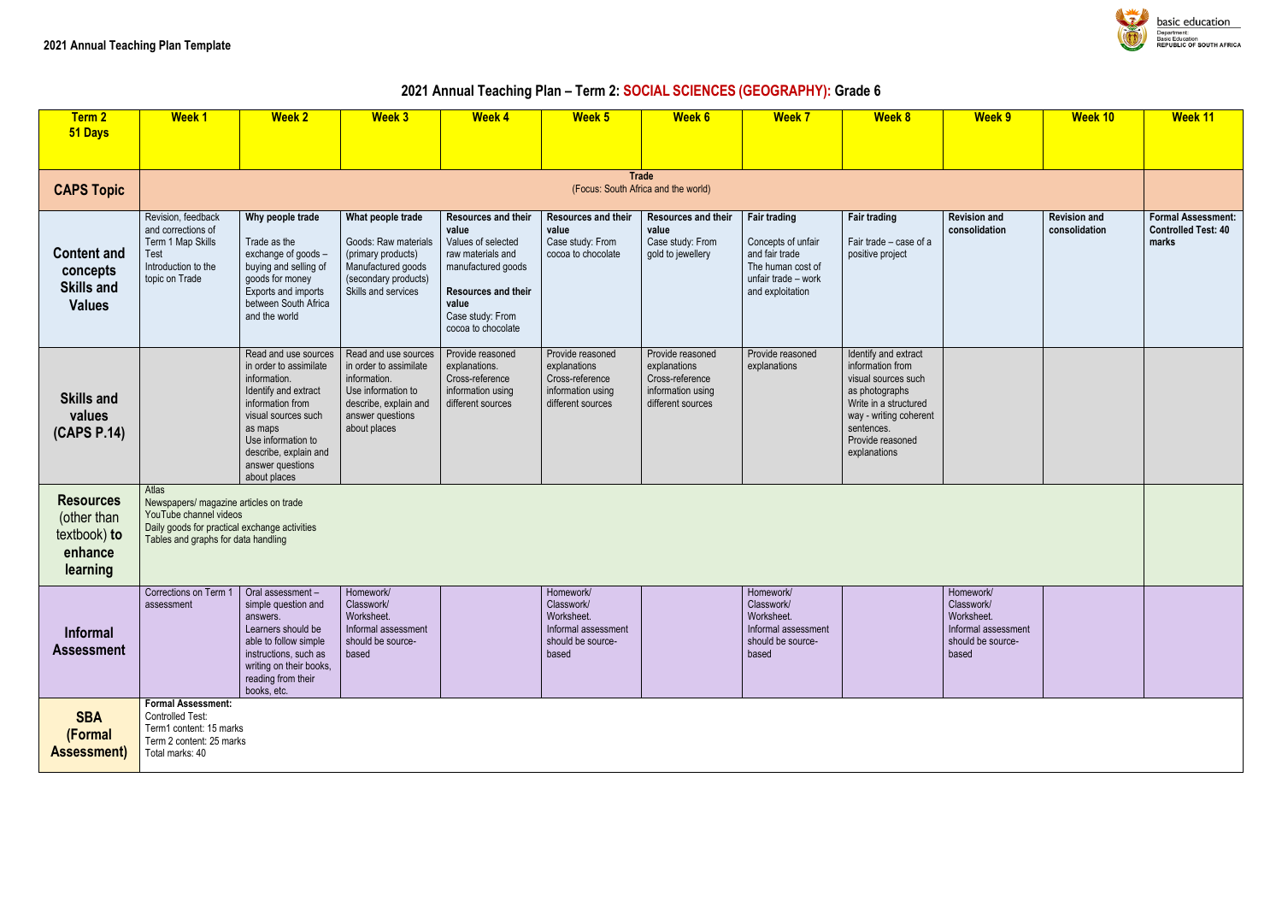#### **2021 Annual Teaching Plan – Term 2: SOCIAL SCIENCES (GEOGRAPHY): Grade 6**

| <b>Term 2</b><br>51 Days                                               | <b>Week1</b>                                                                                                                                                      | <b>Week 2</b>                                                                                                                                                                                                                   | <b>Week 3</b>                                                                                                                                     | <b>Week 4</b>                                                                                                                                                                  | Week 5                                                                                        | Week 6                                                                                        | <b>Week 7</b>                                                                                                               | <b>Week 8</b>                                                                                                                                                                          | Week 9                                                                                     | Week 10                              | <b>Week 11</b>                                          |  |  |
|------------------------------------------------------------------------|-------------------------------------------------------------------------------------------------------------------------------------------------------------------|---------------------------------------------------------------------------------------------------------------------------------------------------------------------------------------------------------------------------------|---------------------------------------------------------------------------------------------------------------------------------------------------|--------------------------------------------------------------------------------------------------------------------------------------------------------------------------------|-----------------------------------------------------------------------------------------------|-----------------------------------------------------------------------------------------------|-----------------------------------------------------------------------------------------------------------------------------|----------------------------------------------------------------------------------------------------------------------------------------------------------------------------------------|--------------------------------------------------------------------------------------------|--------------------------------------|---------------------------------------------------------|--|--|
|                                                                        |                                                                                                                                                                   |                                                                                                                                                                                                                                 |                                                                                                                                                   |                                                                                                                                                                                |                                                                                               |                                                                                               |                                                                                                                             |                                                                                                                                                                                        |                                                                                            |                                      |                                                         |  |  |
| <b>CAPS Topic</b>                                                      |                                                                                                                                                                   | <b>Trade</b><br>(Focus: South Africa and the world)                                                                                                                                                                             |                                                                                                                                                   |                                                                                                                                                                                |                                                                                               |                                                                                               |                                                                                                                             |                                                                                                                                                                                        |                                                                                            |                                      |                                                         |  |  |
| <b>Content and</b><br>concepts<br><b>Skills and</b><br><b>Values</b>   | Revision, feedback<br>and corrections of<br>Term 1 Map Skills<br><b>Test</b><br>Introduction to the<br>topic on Trade                                             | Why people trade<br>Trade as the<br>exchange of goods -<br>buying and selling of<br>goods for money<br>Exports and imports<br>between South Africa<br>and the world                                                             | What people trade<br>Goods: Raw materials<br>(primary products)<br>Manufactured goods<br>(secondary products)<br>Skills and services              | Resources and their<br>value<br>Values of selected<br>raw materials and<br>manufactured goods<br><b>Resources and their</b><br>value<br>Case study: From<br>cocoa to chocolate | Resources and their<br>value<br>Case study: From<br>cocoa to chocolate                        | <b>Resources and their</b><br>value<br>Case study: From<br>gold to jewellery                  | <b>Fair trading</b><br>Concepts of unfair<br>and fair trade<br>The human cost of<br>unfair trade - work<br>and exploitation | <b>Fair trading</b><br>Fair trade - case of a<br>positive project                                                                                                                      | <b>Revision and</b><br>consolidation                                                       | <b>Revision and</b><br>consolidation | <b>Formal Assess</b><br><b>Controlled Test</b><br>marks |  |  |
| <b>Skills and</b><br>values<br>(CAPS P.14)                             |                                                                                                                                                                   | Read and use sources<br>in order to assimilate<br>information.<br>Identify and extract<br>information from<br>visual sources such<br>as maps<br>Use information to<br>describe, explain and<br>answer questions<br>about places | Read and use sources<br>in order to assimilate<br>information.<br>Use information to<br>describe, explain and<br>answer questions<br>about places | Provide reasoned<br>explanations.<br>Cross-reference<br>information using<br>different sources                                                                                 | Provide reasoned<br>explanations<br>Cross-reference<br>information using<br>different sources | Provide reasoned<br>explanations<br>Cross-reference<br>information using<br>different sources | Provide reasoned<br>explanations                                                                                            | Identify and extract<br>information from<br>visual sources such<br>as photographs<br>Write in a structured<br>way - writing coherent<br>sentences.<br>Provide reasoned<br>explanations |                                                                                            |                                      |                                                         |  |  |
| <b>Resources</b><br>(other than<br>textbook) to<br>enhance<br>learning | Atlas<br>Newspapers/ magazine articles on trade<br>YouTube channel videos<br>Daily goods for practical exchange activities<br>Tables and graphs for data handling |                                                                                                                                                                                                                                 |                                                                                                                                                   |                                                                                                                                                                                |                                                                                               |                                                                                               |                                                                                                                             |                                                                                                                                                                                        |                                                                                            |                                      |                                                         |  |  |
| <b>Informal</b><br><b>Assessment</b>                                   | Corrections on Term 1   Oral assessment -<br>assessment                                                                                                           | simple question and<br>answers.<br>Learners should be<br>able to follow simple<br>instructions, such as<br>writing on their books,<br>reading from their<br>books, etc.                                                         | Homework/<br>Classwork/<br>Worksheet.<br>Informal assessment<br>should be source-<br>based                                                        |                                                                                                                                                                                | Homework/<br>Classwork/<br>Worksheet.<br>Informal assessment<br>should be source-<br>based    |                                                                                               | Homework/<br>Classwork/<br>Worksheet.<br>Informal assessment<br>should be source-<br>based                                  |                                                                                                                                                                                        | Homework/<br>Classwork/<br>Worksheet.<br>Informal assessment<br>should be source-<br>based |                                      |                                                         |  |  |
| <b>SBA</b><br>(Formal<br><b>Assessment)</b>                            | <b>Formal Assessment:</b><br>Controlled Test:<br>Term1 content: 15 marks<br>Term 2 content: 25 marks<br>Total marks: 40                                           |                                                                                                                                                                                                                                 |                                                                                                                                                   |                                                                                                                                                                                |                                                                                               |                                                                                               |                                                                                                                             |                                                                                                                                                                                        |                                                                                            |                                      |                                                         |  |  |



basic education c Education<br>'UBLIC OF SOUTH AFRICA

| <b>Week 9</b>                                                                              | Week 10                              | Week 11                                                          |  |  |  |  |
|--------------------------------------------------------------------------------------------|--------------------------------------|------------------------------------------------------------------|--|--|--|--|
|                                                                                            |                                      |                                                                  |  |  |  |  |
| <b>Revision and</b><br>consolidation                                                       | <b>Revision and</b><br>consolidation | <b>Formal Assessment:</b><br><b>Controlled Test: 40</b><br>marks |  |  |  |  |
|                                                                                            |                                      |                                                                  |  |  |  |  |
|                                                                                            |                                      |                                                                  |  |  |  |  |
| Homework/<br>Classwork/<br>Worksheet.<br>Informal assessment<br>should be source-<br>based |                                      |                                                                  |  |  |  |  |
|                                                                                            |                                      |                                                                  |  |  |  |  |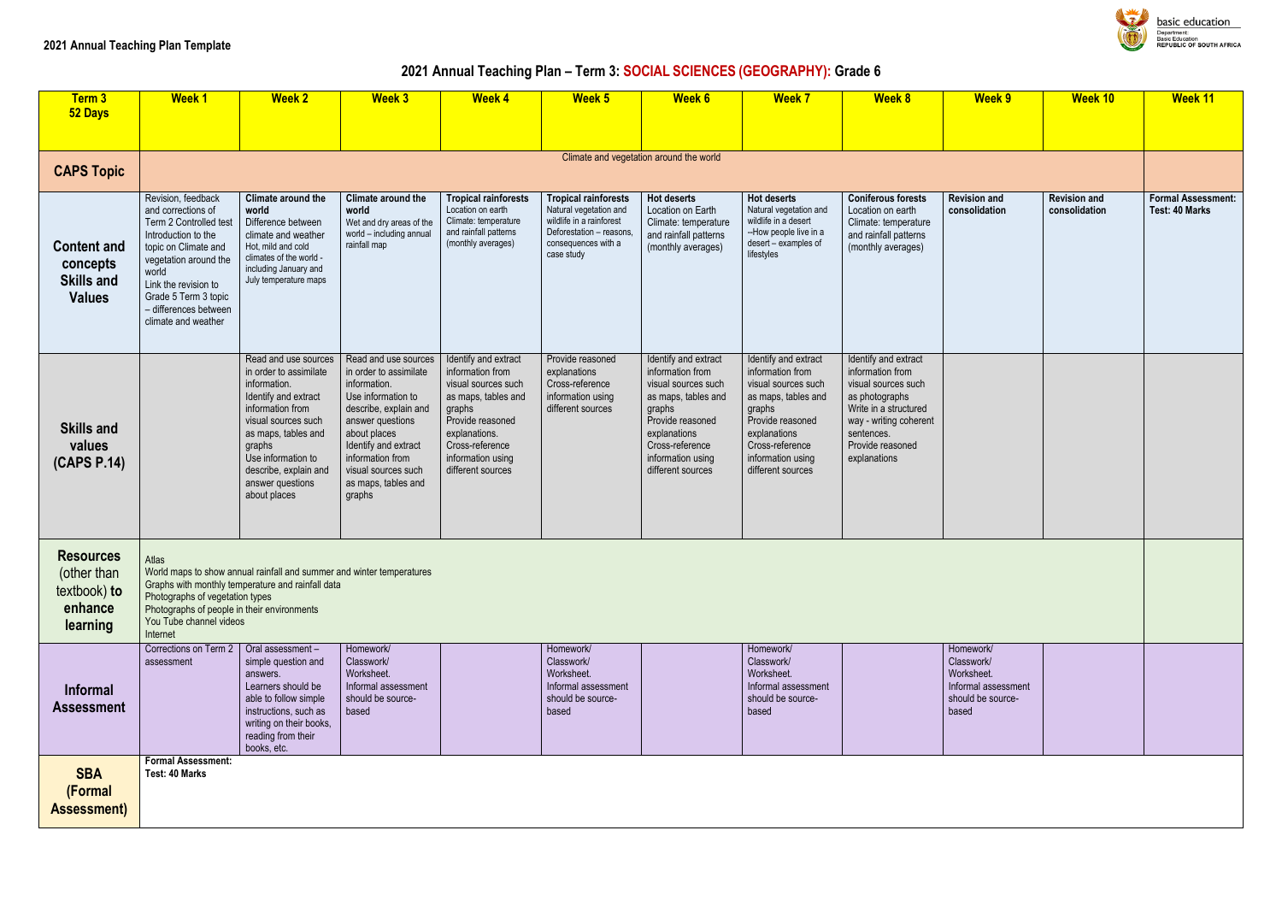# **2021 Annual Teaching Plan – Term 3: SOCIAL SCIENCES (GEOGRAPHY): Grade 6**

| Term 3<br>52 Days                                                      | <b>Week1</b>                                                                                                                                                                                                                                        | <b>Week 2</b>                                                                                                                                                                                                                                         | <b>Week 3</b>                                                                                                                                                                                                                                         | <b>Week 4</b>                                                                                                                                                                                      | Week 5                                                                                                                                             | <b>Week 6</b>                                                                                                                                                                                     | <b>Week 7</b>                                                                                                                                                                                     | <b>Week 8</b>                                                                                                                                                                          | <b>Week 9</b>                                                                              | <b>Week 10</b>                       | Week 11                                     |
|------------------------------------------------------------------------|-----------------------------------------------------------------------------------------------------------------------------------------------------------------------------------------------------------------------------------------------------|-------------------------------------------------------------------------------------------------------------------------------------------------------------------------------------------------------------------------------------------------------|-------------------------------------------------------------------------------------------------------------------------------------------------------------------------------------------------------------------------------------------------------|----------------------------------------------------------------------------------------------------------------------------------------------------------------------------------------------------|----------------------------------------------------------------------------------------------------------------------------------------------------|---------------------------------------------------------------------------------------------------------------------------------------------------------------------------------------------------|---------------------------------------------------------------------------------------------------------------------------------------------------------------------------------------------------|----------------------------------------------------------------------------------------------------------------------------------------------------------------------------------------|--------------------------------------------------------------------------------------------|--------------------------------------|---------------------------------------------|
|                                                                        |                                                                                                                                                                                                                                                     |                                                                                                                                                                                                                                                       |                                                                                                                                                                                                                                                       |                                                                                                                                                                                                    |                                                                                                                                                    |                                                                                                                                                                                                   |                                                                                                                                                                                                   |                                                                                                                                                                                        |                                                                                            |                                      |                                             |
| <b>CAPS Topic</b>                                                      |                                                                                                                                                                                                                                                     |                                                                                                                                                                                                                                                       |                                                                                                                                                                                                                                                       |                                                                                                                                                                                                    |                                                                                                                                                    | Climate and vegetation around the world                                                                                                                                                           |                                                                                                                                                                                                   |                                                                                                                                                                                        |                                                                                            |                                      |                                             |
| <b>Content and</b><br>concepts<br><b>Skills and</b><br><b>Values</b>   | Revision, feedback<br>and corrections of<br>Term 2 Controlled test<br>Introduction to the<br>topic on Climate and<br>vegetation around the<br>world<br>Link the revision to<br>Grade 5 Term 3 topic<br>- differences between<br>climate and weather | Climate around the<br>world<br>Difference between<br>climate and weather<br>Hot, mild and cold<br>climates of the world -<br>including January and<br>July temperature maps                                                                           | Climate around the<br>world<br>Wet and dry areas of the<br>world - including annual<br>rainfall map                                                                                                                                                   | <b>Tropical rainforests</b><br>Location on earth<br>Climate: temperature<br>and rainfall patterns<br>(monthly averages)                                                                            | <b>Tropical rainforests</b><br>Natural vegetation and<br>wildlife in a rainforest<br>Deforestation - reasons,<br>consequences with a<br>case study | <b>Hot deserts</b><br>Location on Earth<br>Climate: temperature<br>and rainfall patterns<br>(monthly averages)                                                                                    | <b>Hot deserts</b><br>Natural vegetation and<br>wildlife in a desert<br>--How people live in a<br>desert - examples of<br>lifestyles                                                              | <b>Coniferous forests</b><br>Location on earth<br>Climate: temperature<br>and rainfall patterns<br>(monthly averages)                                                                  | <b>Revision and</b><br>consolidation                                                       | <b>Revision and</b><br>consolidation | <b>Formal Assessment:</b><br>Test: 40 Marks |
| <b>Skills and</b><br>values<br>(CAPS P.14)                             |                                                                                                                                                                                                                                                     | Read and use sources<br>in order to assimilate<br>information.<br>Identify and extract<br>information from<br>visual sources such<br>as maps, tables and<br>graphs<br>Use information to<br>describe, explain and<br>answer questions<br>about places | Read and use sources<br>in order to assimilate<br>information.<br>Use information to<br>describe, explain and<br>answer questions<br>about places<br>Identify and extract<br>information from<br>visual sources such<br>as maps, tables and<br>graphs | Identify and extract<br>information from<br>visual sources such<br>as maps, tables and<br>graphs<br>Provide reasoned<br>explanations.<br>Cross-reference<br>information using<br>different sources | Provide reasoned<br>explanations<br>Cross-reference<br>information using<br>different sources                                                      | Identify and extract<br>information from<br>visual sources such<br>as maps, tables and<br>graphs<br>Provide reasoned<br>explanations<br>Cross-reference<br>information using<br>different sources | Identify and extract<br>information from<br>visual sources such<br>as maps, tables and<br>graphs<br>Provide reasoned<br>explanations<br>Cross-reference<br>information using<br>different sources | Identify and extract<br>information from<br>visual sources such<br>as photographs<br>Write in a structured<br>way - writing coherent<br>sentences.<br>Provide reasoned<br>explanations |                                                                                            |                                      |                                             |
| <b>Resources</b><br>(other than<br>textbook) to<br>enhance<br>learning | Atlas<br>Photographs of vegetation types<br>Photographs of people in their environments<br>You Tube channel videos<br>Internet                                                                                                                      | World maps to show annual rainfall and summer and winter temperatures<br>Graphs with monthly temperature and rainfall data                                                                                                                            |                                                                                                                                                                                                                                                       |                                                                                                                                                                                                    |                                                                                                                                                    |                                                                                                                                                                                                   |                                                                                                                                                                                                   |                                                                                                                                                                                        |                                                                                            |                                      |                                             |
| <b>Informal</b><br><b>Assessment</b>                                   | Corrections on Term 2<br>assessment                                                                                                                                                                                                                 | Oral assessment -<br>simple question and<br>answers.<br>Learners should be<br>able to follow simple<br>instructions, such as<br>writing on their books,<br>reading from their<br>books, etc.                                                          | Homework/<br>Classwork/<br>Worksheet.<br>Informal assessment<br>should be source-<br>based                                                                                                                                                            |                                                                                                                                                                                                    | Homework/<br>Classwork/<br>Worksheet.<br>Informal assessment<br>should be source-<br>based                                                         |                                                                                                                                                                                                   | Homework/<br>Classwork/<br>Worksheet.<br>Informal assessment<br>should be source-<br>based                                                                                                        |                                                                                                                                                                                        | Homework/<br>Classwork/<br>Worksheet.<br>Informal assessment<br>should be source-<br>based |                                      |                                             |
| <b>SBA</b><br>(Formal<br><b>Assessment)</b>                            | <b>Formal Assessment:</b><br>Test: 40 Marks                                                                                                                                                                                                         |                                                                                                                                                                                                                                                       |                                                                                                                                                                                                                                                       |                                                                                                                                                                                                    |                                                                                                                                                    |                                                                                                                                                                                                   |                                                                                                                                                                                                   |                                                                                                                                                                                        |                                                                                            |                                      |                                             |



basic education Department:<br>Basic Education<br>**REPUBLIC OF SOUTH AFRICA**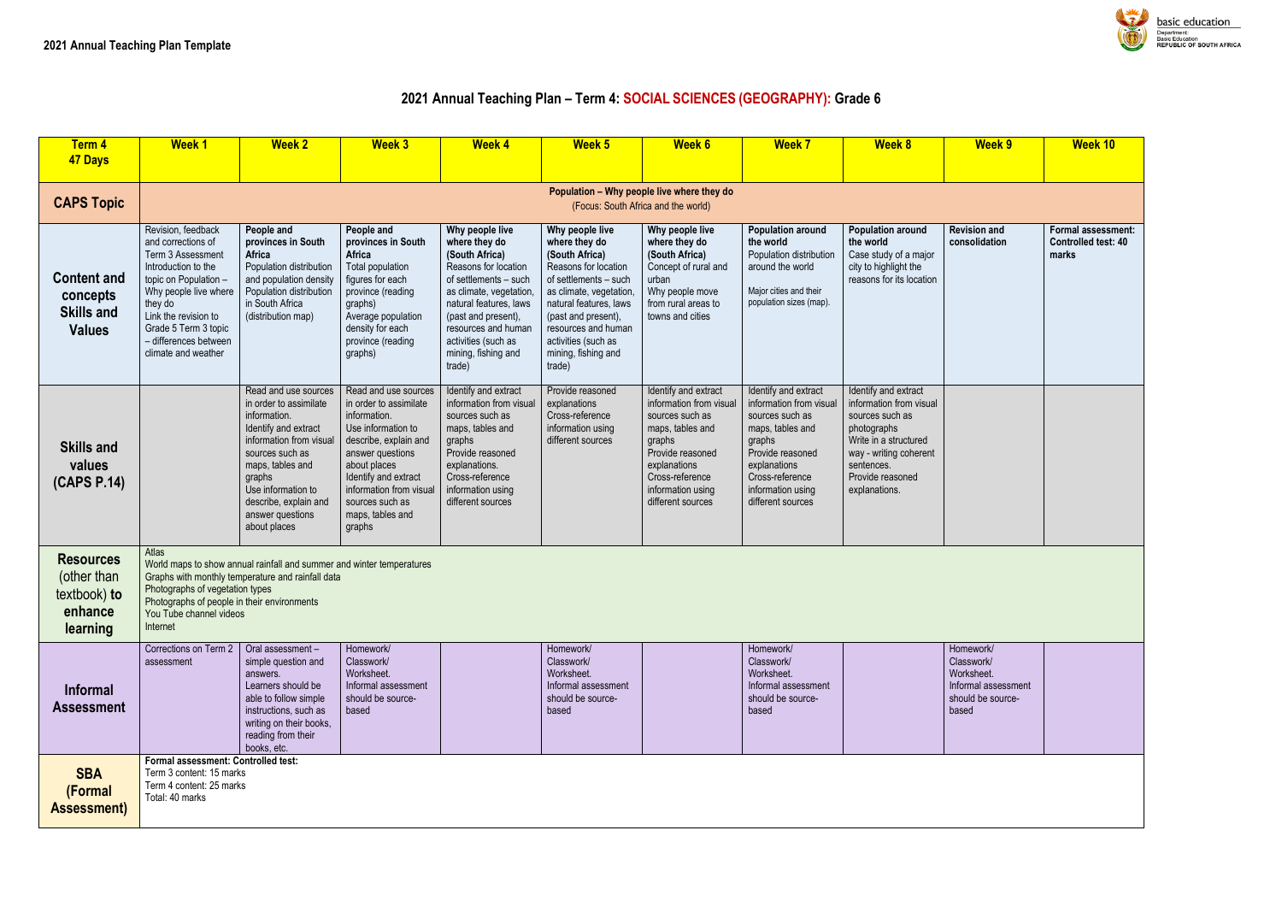#### **2021 Annual Teaching Plan – Term 4: SOCIAL SCIENCES (GEOGRAPHY): Grade 6**

| Term 4<br>47 Days                                                      | <b>Week1</b>                                                                                                                                                                                                                                      | <b>Week 2</b>                                                                                                                                                                                                                                         | <b>Week 3</b>                                                                                                                                                                                                                                         | <b>Week 4</b>                                                                                                                                                                                                                                                  | <b>Week 5</b>                                                                                                                                                                                                                                                 | <b>Week 6</b>                                                                                                                                                                                     | <b>Week 7</b>                                                                                                                                                                                     | <b>Week 8</b>                                                                                                                                                                           | <b>Week 9</b>                                                                              | <b>Week 10</b>                                           |
|------------------------------------------------------------------------|---------------------------------------------------------------------------------------------------------------------------------------------------------------------------------------------------------------------------------------------------|-------------------------------------------------------------------------------------------------------------------------------------------------------------------------------------------------------------------------------------------------------|-------------------------------------------------------------------------------------------------------------------------------------------------------------------------------------------------------------------------------------------------------|----------------------------------------------------------------------------------------------------------------------------------------------------------------------------------------------------------------------------------------------------------------|---------------------------------------------------------------------------------------------------------------------------------------------------------------------------------------------------------------------------------------------------------------|---------------------------------------------------------------------------------------------------------------------------------------------------------------------------------------------------|---------------------------------------------------------------------------------------------------------------------------------------------------------------------------------------------------|-----------------------------------------------------------------------------------------------------------------------------------------------------------------------------------------|--------------------------------------------------------------------------------------------|----------------------------------------------------------|
|                                                                        |                                                                                                                                                                                                                                                   |                                                                                                                                                                                                                                                       |                                                                                                                                                                                                                                                       |                                                                                                                                                                                                                                                                |                                                                                                                                                                                                                                                               | Population - Why people live where they do                                                                                                                                                        |                                                                                                                                                                                                   |                                                                                                                                                                                         |                                                                                            |                                                          |
| <b>CAPS Topic</b>                                                      |                                                                                                                                                                                                                                                   |                                                                                                                                                                                                                                                       |                                                                                                                                                                                                                                                       |                                                                                                                                                                                                                                                                |                                                                                                                                                                                                                                                               | (Focus: South Africa and the world)                                                                                                                                                               |                                                                                                                                                                                                   |                                                                                                                                                                                         |                                                                                            |                                                          |
| <b>Content and</b><br>concepts<br><b>Skills and</b><br><b>Values</b>   | Revision, feedback<br>and corrections of<br>Term 3 Assessment<br>Introduction to the<br>topic on Population -<br>Why people live where<br>they do<br>Link the revision to<br>Grade 5 Term 3 topic<br>- differences between<br>climate and weather | People and<br>provinces in South<br>Africa<br>Population distribution<br>and population density<br>Population distribution<br>in South Africa<br>(distribution map)                                                                                   | People and<br>provinces in South<br>Africa<br>Total population<br>figures for each<br>province (reading<br>graphs)<br>Average population<br>density for each<br>province (reading<br>graphs)                                                          | Why people live<br>where they do<br>(South Africa)<br>Reasons for location<br>of settlements - such<br>as climate, vegetation,<br>natural features, laws<br>(past and present),<br>resources and human<br>activities (such as<br>mining, fishing and<br>trade) | Why people live<br>where they do<br>(South Africa)<br>Reasons for location<br>of settlements - such<br>as climate, vegetation<br>natural features, laws<br>(past and present),<br>resources and human<br>activities (such as<br>mining, fishing and<br>trade) | Why people live<br>where they do<br>(South Africa)<br>Concept of rural and<br>urban<br>Why people move<br>from rural areas to<br>towns and cities                                                 | <b>Population around</b><br>the world<br>Population distribution<br>around the world<br>Major cities and their<br>population sizes (map).                                                         | <b>Population around</b><br>the world<br>Case study of a major<br>city to highlight the<br>reasons for its location                                                                     | <b>Revision and</b><br>consolidation                                                       | <b>Formal assessi</b><br><b>Controlled test</b><br>marks |
| <b>Skills and</b><br>values<br>(CAPS P.14)                             |                                                                                                                                                                                                                                                   | Read and use sources<br>in order to assimilate<br>information.<br>Identify and extract<br>information from visual<br>sources such as<br>maps, tables and<br>graphs<br>Use information to<br>describe, explain and<br>answer questions<br>about places | Read and use sources<br>in order to assimilate<br>information.<br>Use information to<br>describe, explain and<br>answer questions<br>about places<br>Identify and extract<br>information from visual<br>sources such as<br>maps, tables and<br>graphs | Identify and extract<br>information from visual<br>sources such as<br>maps, tables and<br>graphs<br>Provide reasoned<br>explanations.<br>Cross-reference<br>information using<br>different sources                                                             | Provide reasoned<br>explanations<br>Cross-reference<br>information using<br>different sources                                                                                                                                                                 | Identify and extract<br>information from visual<br>sources such as<br>maps, tables and<br>graphs<br>Provide reasoned<br>explanations<br>Cross-reference<br>information using<br>different sources | Identify and extract<br>information from visual<br>sources such as<br>maps, tables and<br>graphs<br>Provide reasoned<br>explanations<br>Cross-reference<br>information using<br>different sources | Identify and extract<br>information from visual<br>sources such as<br>photographs<br>Write in a structured<br>way - writing coherent<br>sentences.<br>Provide reasoned<br>explanations. |                                                                                            |                                                          |
| <b>Resources</b><br>(other than<br>textbook) to<br>enhance<br>learning | Atlas<br>Photographs of vegetation types<br>Photographs of people in their environments<br>You Tube channel videos<br>Internet                                                                                                                    | World maps to show annual rainfall and summer and winter temperatures<br>Graphs with monthly temperature and rainfall data                                                                                                                            |                                                                                                                                                                                                                                                       |                                                                                                                                                                                                                                                                |                                                                                                                                                                                                                                                               |                                                                                                                                                                                                   |                                                                                                                                                                                                   |                                                                                                                                                                                         |                                                                                            |                                                          |
| Informal<br><b>Assessment</b>                                          | Corrections on Term 2<br>assessment                                                                                                                                                                                                               | Oral assessment -<br>simple question and<br>answers.<br>Learners should be<br>able to follow simple<br>instructions, such as<br>writing on their books,<br>reading from their<br>books, etc.                                                          | Homework/<br>Classwork/<br>Worksheet.<br>Informal assessment<br>should be source-<br>based                                                                                                                                                            |                                                                                                                                                                                                                                                                | Homework/<br>Classwork/<br>Worksheet.<br>Informal assessment<br>should be source-<br>based                                                                                                                                                                    |                                                                                                                                                                                                   | Homework/<br>Classwork/<br>Worksheet.<br>Informal assessment<br>should be source-<br>based                                                                                                        |                                                                                                                                                                                         | Homework/<br>Classwork/<br>Worksheet.<br>Informal assessment<br>should be source-<br>based |                                                          |
| <b>SBA</b><br>(Formal<br><b>Assessment)</b>                            | Formal assessment: Controlled test:<br>Term 3 content: 15 marks<br>Term 4 content: 25 marks<br>Total: 40 marks                                                                                                                                    |                                                                                                                                                                                                                                                       |                                                                                                                                                                                                                                                       |                                                                                                                                                                                                                                                                |                                                                                                                                                                                                                                                               |                                                                                                                                                                                                   |                                                                                                                                                                                                   |                                                                                                                                                                                         |                                                                                            |                                                          |



basic education Department:<br>Basic Education<br>REPUBLIC OF SOUTH AFRICA

| <b>Week 9</b>                                                                              | Week 10                                            |
|--------------------------------------------------------------------------------------------|----------------------------------------------------|
|                                                                                            |                                                    |
| <b>Revision and</b><br>consolidation                                                       | Formal assessment:<br>Controlled test: 40<br>marks |
|                                                                                            |                                                    |
|                                                                                            |                                                    |
| Homework/<br>Classwork/<br>Worksheet.<br>Informal assessment<br>should be source-<br>based |                                                    |
|                                                                                            |                                                    |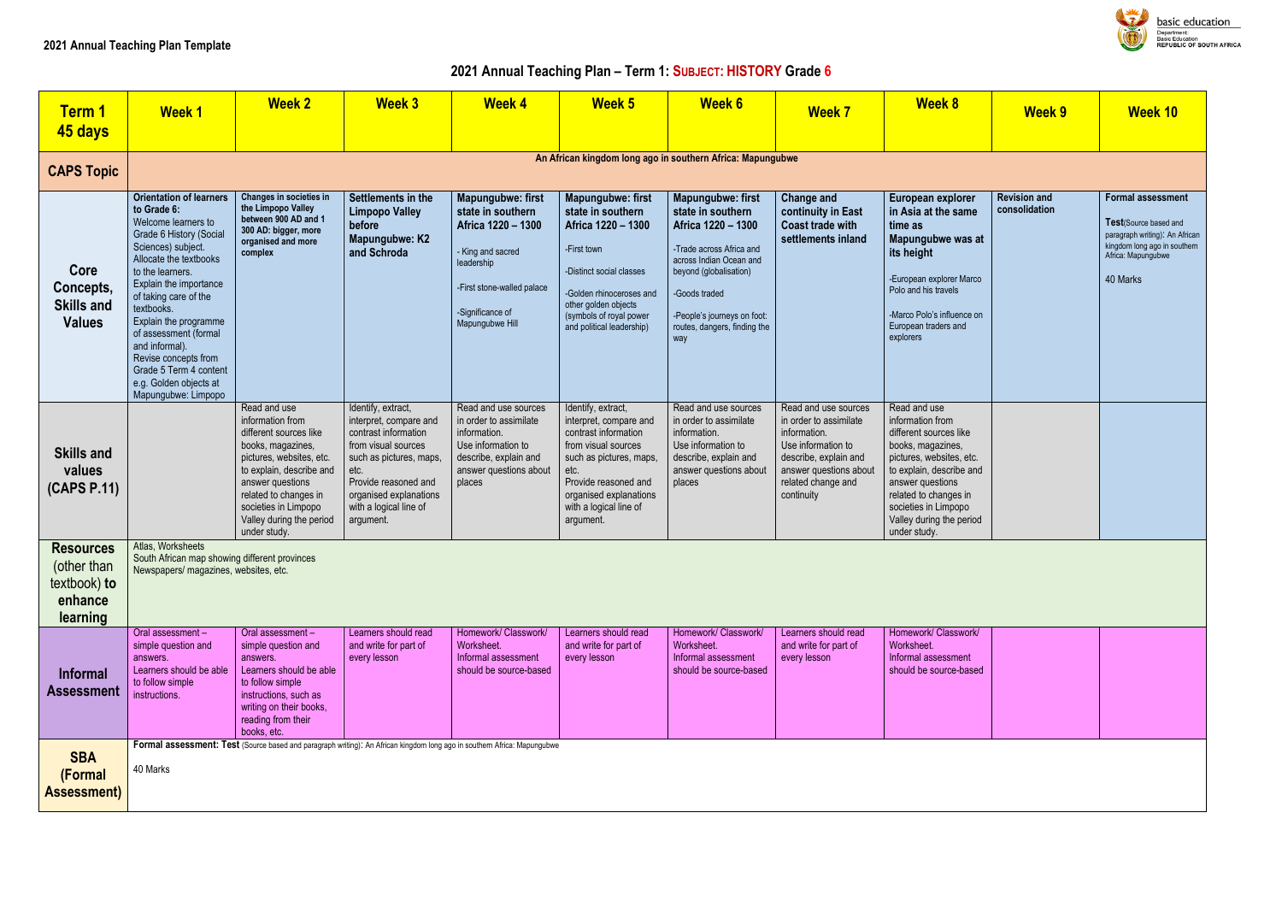# **2021 Annual Teaching Plan – Term 1: SUBJECT: HISTORY Grade 6**

| <b>Term 1</b><br>45 days                                               | <b>Week1</b>                                                                                                                                                                                                                                                                                                                                                                                                | <b>Week 2</b>                                                                                                                                                                                                                                            | <b>Week 3</b>                                                                                                                                                                                                           | <b>Week 4</b>                                                                                                                                                               | <b>Week 5</b>                                                                                                                                                                                                              | <b>Week 6</b>                                                                                                                                                                                                                               | <b>Week 7</b>                                                                                                                                                               | <b>Week 8</b>                                                                                                                                                                                                                                            | <b>Week 9</b>                        | <b>Week 10</b>                                                                                                                                                |
|------------------------------------------------------------------------|-------------------------------------------------------------------------------------------------------------------------------------------------------------------------------------------------------------------------------------------------------------------------------------------------------------------------------------------------------------------------------------------------------------|----------------------------------------------------------------------------------------------------------------------------------------------------------------------------------------------------------------------------------------------------------|-------------------------------------------------------------------------------------------------------------------------------------------------------------------------------------------------------------------------|-----------------------------------------------------------------------------------------------------------------------------------------------------------------------------|----------------------------------------------------------------------------------------------------------------------------------------------------------------------------------------------------------------------------|---------------------------------------------------------------------------------------------------------------------------------------------------------------------------------------------------------------------------------------------|-----------------------------------------------------------------------------------------------------------------------------------------------------------------------------|----------------------------------------------------------------------------------------------------------------------------------------------------------------------------------------------------------------------------------------------------------|--------------------------------------|---------------------------------------------------------------------------------------------------------------------------------------------------------------|
| <b>CAPS Topic</b>                                                      |                                                                                                                                                                                                                                                                                                                                                                                                             |                                                                                                                                                                                                                                                          |                                                                                                                                                                                                                         |                                                                                                                                                                             |                                                                                                                                                                                                                            | An African kingdom long ago in southern Africa: Mapungubwe                                                                                                                                                                                  |                                                                                                                                                                             |                                                                                                                                                                                                                                                          |                                      |                                                                                                                                                               |
| Core<br>Concepts,<br><b>Skills and</b><br><b>Values</b>                | <b>Orientation of learners</b><br>to Grade 6:<br>Welcome learners to<br>Grade 6 History (Social<br>Sciences) subject.<br>Allocate the textbooks<br>to the learners.<br>Explain the importance<br>of taking care of the<br>textbooks.<br>Explain the programme<br>of assessment (formal<br>and informal).<br>Revise concepts from<br>Grade 5 Term 4 content<br>e.g. Golden objects at<br>Mapungubwe: Limpopo | Changes in societies in<br>the Limpopo Valley<br>between 900 AD and 1<br>300 AD: bigger, more<br>organised and more<br>complex                                                                                                                           | Settlements in the<br><b>Limpopo Valley</b><br>before<br>Mapungubwe: K2<br>and Schroda                                                                                                                                  | <b>Mapungubwe: first</b><br>state in southern<br>Africa 1220 - 1300<br>- King and sacred<br>leadership<br>-First stone-walled palace<br>-Significance of<br>Mapungubwe Hill | <b>Mapungubwe: first</b><br>state in southern<br>Africa 1220 - 1300<br>-First town<br>-Distinct social classes<br>-Golden rhinoceroses and<br>other golden objects<br>(symbols of royal power<br>and political leadership) | <b>Mapungubwe: first</b><br>state in southern<br>Africa 1220 - 1300<br>-Trade across Africa and<br>across Indian Ocean and<br>beyond (globalisation)<br>-Goods traded<br>-People's journeys on foot:<br>routes, dangers, finding the<br>way | <b>Change and</b><br>continuity in East<br><b>Coast trade with</b><br>settlements inland                                                                                    | European explorer<br>in Asia at the same<br>time as<br>Mapungubwe was at<br>its height<br>-European explorer Marco<br>Polo and his travels<br>-Marco Polo's influence on<br>European traders and<br>explorers                                            | <b>Revision and</b><br>consolidation | <b>Formal assessment</b><br><b>Test</b> (Source based and<br>paragraph writing): An African<br>kingdom long ago in southern<br>Africa: Mapungubwe<br>40 Marks |
| <b>Skills and</b><br>values<br>(CAPS P.11)                             |                                                                                                                                                                                                                                                                                                                                                                                                             | Read and use<br>information from<br>different sources like<br>books, magazines,<br>pictures, websites, etc.<br>to explain, describe and<br>answer questions<br>related to changes in<br>societies in Limpopo<br>Valley during the period<br>under study. | Identify, extract,<br>interpret, compare and<br>contrast information<br>from visual sources<br>such as pictures, maps,<br>etc.<br>Provide reasoned and<br>organised explanations<br>with a logical line of<br>argument. | Read and use sources<br>in order to assimilate<br>information.<br>Use information to<br>describe, explain and<br>answer questions about<br>places                           | Identify, extract,<br>interpret, compare and<br>contrast information<br>from visual sources<br>such as pictures, maps,<br>etc.<br>Provide reasoned and<br>organised explanations<br>with a logical line of<br>argument.    | Read and use sources<br>in order to assimilate<br>information.<br>Use information to<br>describe, explain and<br>answer questions about<br>places                                                                                           | Read and use sources<br>in order to assimilate<br>information.<br>Use information to<br>describe, explain and<br>answer questions about<br>related change and<br>continuity | Read and use<br>information from<br>different sources like<br>books, magazines,<br>pictures, websites, etc.<br>to explain, describe and<br>answer questions<br>related to changes in<br>societies in Limpopo<br>Valley during the period<br>under study. |                                      |                                                                                                                                                               |
| <b>Resources</b><br>(other than<br>textbook) to<br>enhance<br>learning | Atlas, Worksheets<br>South African map showing different provinces<br>Newspapers/ magazines, websites, etc.                                                                                                                                                                                                                                                                                                 |                                                                                                                                                                                                                                                          |                                                                                                                                                                                                                         |                                                                                                                                                                             |                                                                                                                                                                                                                            |                                                                                                                                                                                                                                             |                                                                                                                                                                             |                                                                                                                                                                                                                                                          |                                      |                                                                                                                                                               |
| <b>Informal</b><br><b>Assessment</b>                                   | Oral assessment -<br>simple question and<br>answers.<br>Learners should be able<br>to follow simple<br>instructions.                                                                                                                                                                                                                                                                                        | Oral assessment -<br>simple question and<br>answers.<br>Learners should be able<br>to follow simple<br>instructions, such as<br>writing on their books,<br>reading from their<br>books, etc.                                                             | Learners should read<br>and write for part of<br>every lesson                                                                                                                                                           | Homework/ Classwork/<br>Worksheet.<br>Informal assessment<br>should be source-based                                                                                         | Learners should read<br>and write for part of<br>every lesson                                                                                                                                                              | Homework/ Classwork/<br>Worksheet.<br>Informal assessment<br>should be source-based                                                                                                                                                         | Learners should read<br>and write for part of<br>every lesson                                                                                                               | Homework/ Classwork/<br>Worksheet.<br>Informal assessment<br>should be source-based                                                                                                                                                                      |                                      |                                                                                                                                                               |
| <b>SBA</b><br>(Formal<br><b>Assessment)</b>                            | 40 Marks                                                                                                                                                                                                                                                                                                                                                                                                    | Formal assessment: Test (Source based and paragraph writing): An African kingdom long ago in southern Africa: Mapungubwe                                                                                                                                 |                                                                                                                                                                                                                         |                                                                                                                                                                             |                                                                                                                                                                                                                            |                                                                                                                                                                                                                                             |                                                                                                                                                                             |                                                                                                                                                                                                                                                          |                                      |                                                                                                                                                               |



basic education Department:<br>Basic Education<br>REPUBLIC OF SOUTH AFRICA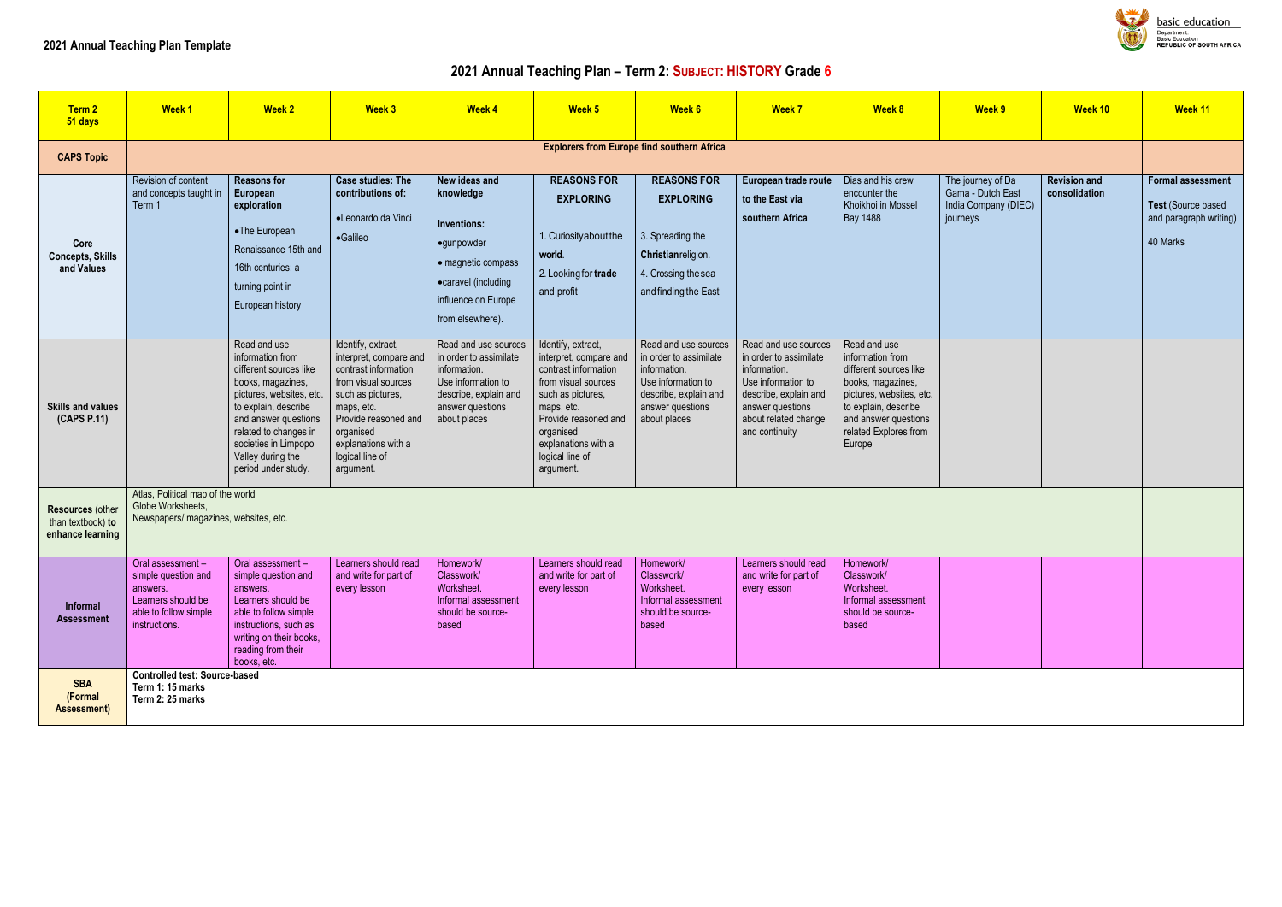# **2021 Annual Teaching Plan – Term 2: SUBJECT: HISTORY Grade 6**

| Term 2<br>51 days                                                | <b>Week 1</b>                                                                                                       | <b>Week 2</b>                                                                                                                                                                                                                                            | <b>Week 3</b>                                                                                                                                                                                                              | <b>Week 4</b>                                                                                                                                     | Week 5                                                                                                                                                                                                                     | Week 6                                                                                                                                            | <b>Week 7</b>                                                                                                                                                               | <b>Week 8</b>                                                                                                                                                                                  | Week 9                                                                     | Week 10                              | Week 11                                                                              |
|------------------------------------------------------------------|---------------------------------------------------------------------------------------------------------------------|----------------------------------------------------------------------------------------------------------------------------------------------------------------------------------------------------------------------------------------------------------|----------------------------------------------------------------------------------------------------------------------------------------------------------------------------------------------------------------------------|---------------------------------------------------------------------------------------------------------------------------------------------------|----------------------------------------------------------------------------------------------------------------------------------------------------------------------------------------------------------------------------|---------------------------------------------------------------------------------------------------------------------------------------------------|-----------------------------------------------------------------------------------------------------------------------------------------------------------------------------|------------------------------------------------------------------------------------------------------------------------------------------------------------------------------------------------|----------------------------------------------------------------------------|--------------------------------------|--------------------------------------------------------------------------------------|
| <b>CAPS Topic</b>                                                |                                                                                                                     |                                                                                                                                                                                                                                                          |                                                                                                                                                                                                                            |                                                                                                                                                   | <b>Explorers from Europe find southern Africa</b>                                                                                                                                                                          |                                                                                                                                                   |                                                                                                                                                                             |                                                                                                                                                                                                |                                                                            |                                      |                                                                                      |
| Core<br><b>Concepts, Skills</b><br>and Values                    | Revision of content<br>and concepts taught in<br>Term 1                                                             | <b>Reasons for</b><br>European<br>exploration<br>•The European<br>Renaissance 15th and<br>16th centuries: a<br>turning point in<br>European history                                                                                                      | <b>Case studies: The</b><br>contributions of:<br>•Leonardo da Vinci<br>·Galileo                                                                                                                                            | New ideas and<br>knowledge<br>Inventions:<br>•gunpowder<br>• magnetic compass<br>•caravel (including<br>influence on Europe<br>from elsewhere).   | <b>REASONS FOR</b><br><b>EXPLORING</b><br>1. Curiosity about the<br>world.<br>2. Looking for trade<br>and profit                                                                                                           | <b>REASONS FOR</b><br><b>EXPLORING</b><br>3. Spreading the<br>Christian religion.<br>4. Crossing the sea<br>and finding the East                  | European trade route<br>to the East via<br>southern Africa                                                                                                                  | Dias and his crew<br>encounter the<br>Khoikhoi in Mossel<br>Bay 1488                                                                                                                           | The journey of Da<br>Gama - Dutch East<br>India Company (DIEC)<br>journeys | <b>Revision and</b><br>consolidation | <b>Formal assessment</b><br>Test (Source based<br>and paragraph writing)<br>40 Marks |
| <b>Skills and values</b><br>(CAPS P.11)                          |                                                                                                                     | Read and use<br>information from<br>different sources like<br>books, magazines,<br>pictures, websites, etc.<br>to explain, describe<br>and answer questions<br>related to changes in<br>societies in Limpopo<br>Valley during the<br>period under study. | Identify, extract,<br>interpret, compare and<br>contrast information<br>from visual sources<br>such as pictures,<br>maps, etc.<br>Provide reasoned and<br>organised<br>explanations with a<br>logical line of<br>argument. | Read and use sources<br>in order to assimilate<br>information.<br>Use information to<br>describe, explain and<br>answer questions<br>about places | Identify, extract,<br>interpret, compare and<br>contrast information<br>from visual sources<br>such as pictures,<br>maps, etc.<br>Provide reasoned and<br>organised<br>explanations with a<br>logical line of<br>argument. | Read and use sources<br>in order to assimilate<br>information.<br>Use information to<br>describe, explain and<br>answer questions<br>about places | Read and use sources<br>in order to assimilate<br>information.<br>Use information to<br>describe, explain and<br>answer questions<br>about related change<br>and continuity | Read and use<br>information from<br>different sources like<br>books, magazines,<br>pictures, websites, etc.<br>to explain, describe<br>and answer questions<br>related Explores from<br>Europe |                                                                            |                                      |                                                                                      |
| <b>Resources (other</b><br>than textbook) to<br>enhance learning | Atlas, Political map of the world<br>Globe Worksheets,<br>Newspapers/ magazines, websites, etc.                     |                                                                                                                                                                                                                                                          |                                                                                                                                                                                                                            |                                                                                                                                                   |                                                                                                                                                                                                                            |                                                                                                                                                   |                                                                                                                                                                             |                                                                                                                                                                                                |                                                                            |                                      |                                                                                      |
| Informal<br><b>Assessment</b>                                    | Oral assessment-<br>simple question and<br>answers.<br>Learners should be<br>able to follow simple<br>instructions. | Oral assessment -<br>simple question and<br>answers.<br>Learners should be<br>able to follow simple<br>instructions, such as<br>writing on their books,<br>reading from their<br>books, etc.                                                             | Learners should read<br>and write for part of<br>every lesson                                                                                                                                                              | Homework/<br>Classwork/<br>Worksheet.<br>Informal assessment<br>should be source-<br>based                                                        | Learners should read<br>and write for part of<br>every lesson                                                                                                                                                              | Homework/<br>Classwork/<br>Worksheet.<br>Informal assessment<br>should be source-<br>based                                                        | Learners should read<br>and write for part of<br>every lesson                                                                                                               | Homework/<br>Classwork/<br>Worksheet.<br>Informal assessment<br>should be source-<br>based                                                                                                     |                                                                            |                                      |                                                                                      |
| <b>SBA</b><br>(Formal<br>Assessment)                             | <b>Controlled test: Source-based</b><br>Term 1: 15 marks<br>Term 2: 25 marks                                        |                                                                                                                                                                                                                                                          |                                                                                                                                                                                                                            |                                                                                                                                                   |                                                                                                                                                                                                                            |                                                                                                                                                   |                                                                                                                                                                             |                                                                                                                                                                                                |                                                                            |                                      |                                                                                      |



**basic education** Department:<br>Department:<br>Basic Education<br>REPUBLIC OF SOUTH AFRICA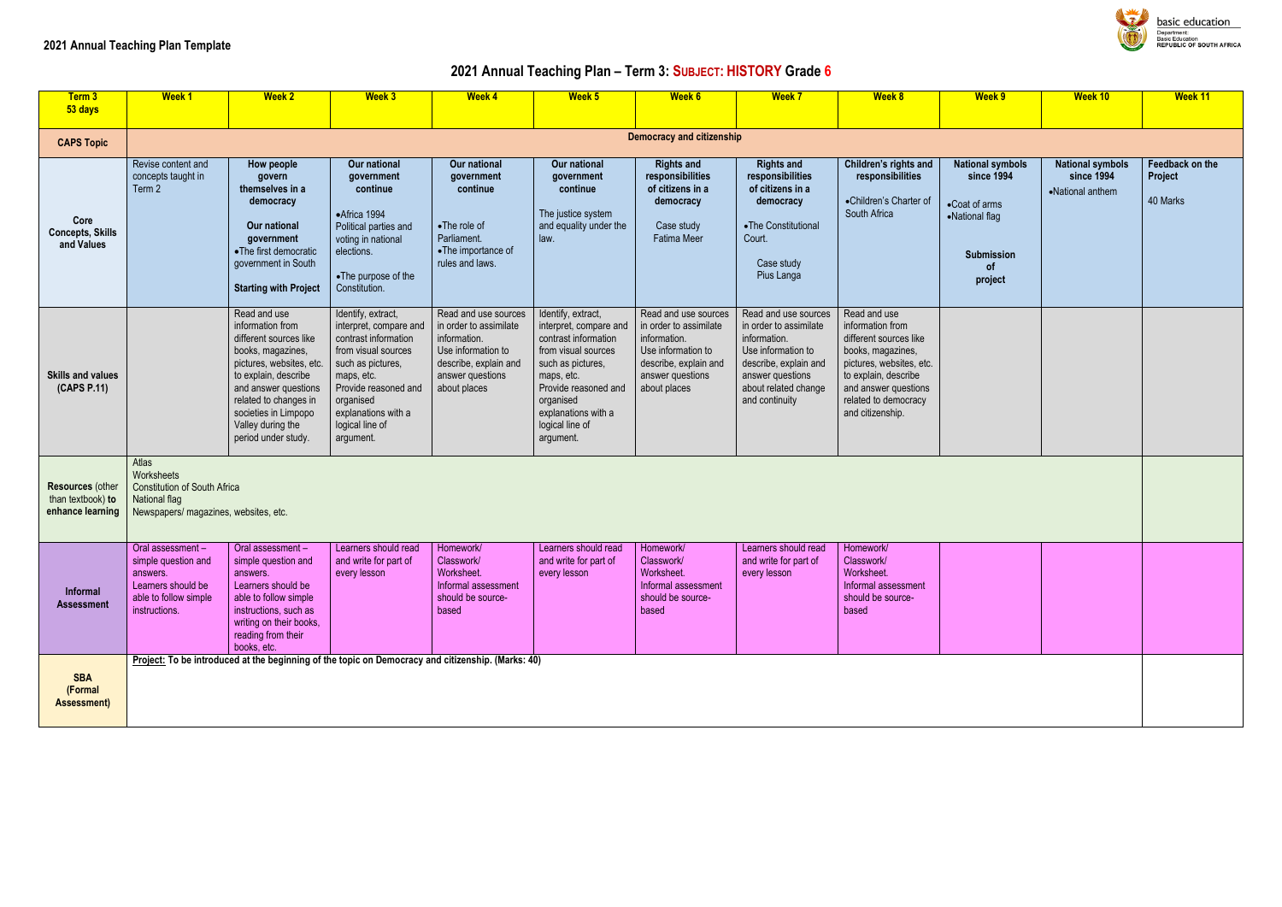# **2021 Annual Teaching Plan – Term 3: SUBJECT: HISTORY Grade 6**

| Week 9                                                                                                         | Week 10                                                   | Week 11                                       |
|----------------------------------------------------------------------------------------------------------------|-----------------------------------------------------------|-----------------------------------------------|
|                                                                                                                |                                                           |                                               |
| <b>National symbols</b><br>since 1994<br>•Coat of arms<br>•National flag<br><b>Submission</b><br>of<br>project | <b>National symbols</b><br>since 1994<br>•National anthem | <b>Feedback on the</b><br>Project<br>40 Marks |
|                                                                                                                |                                                           |                                               |
|                                                                                                                |                                                           |                                               |
|                                                                                                                |                                                           |                                               |
|                                                                                                                |                                                           |                                               |

| Term 3<br>53 days                                         | <b>Week 1</b>                                                                                                        | <b>Week 2</b>                                                                                                                                                                                                                                            | <b>Week 3</b>                                                                                                                                                                                                              | <b>Week 4</b>                                                                                                                                     | Week 5                                                                                                                                                                                                                     | <b>Week 6</b>                                                                                                                                     | <b>Week 7</b>                                                                                                                                                               | Week 8                                                                                                                                                                                                  | Week 9                                                                                                         | Week 10                                                   | Week 11                              |
|-----------------------------------------------------------|----------------------------------------------------------------------------------------------------------------------|----------------------------------------------------------------------------------------------------------------------------------------------------------------------------------------------------------------------------------------------------------|----------------------------------------------------------------------------------------------------------------------------------------------------------------------------------------------------------------------------|---------------------------------------------------------------------------------------------------------------------------------------------------|----------------------------------------------------------------------------------------------------------------------------------------------------------------------------------------------------------------------------|---------------------------------------------------------------------------------------------------------------------------------------------------|-----------------------------------------------------------------------------------------------------------------------------------------------------------------------------|---------------------------------------------------------------------------------------------------------------------------------------------------------------------------------------------------------|----------------------------------------------------------------------------------------------------------------|-----------------------------------------------------------|--------------------------------------|
|                                                           |                                                                                                                      |                                                                                                                                                                                                                                                          |                                                                                                                                                                                                                            |                                                                                                                                                   |                                                                                                                                                                                                                            |                                                                                                                                                   |                                                                                                                                                                             |                                                                                                                                                                                                         |                                                                                                                |                                                           |                                      |
| <b>CAPS Topic</b>                                         |                                                                                                                      |                                                                                                                                                                                                                                                          |                                                                                                                                                                                                                            |                                                                                                                                                   |                                                                                                                                                                                                                            | <b>Democracy and citizenship</b>                                                                                                                  |                                                                                                                                                                             |                                                                                                                                                                                                         |                                                                                                                |                                                           |                                      |
| Core<br><b>Concepts, Skills</b><br>and Values             | Revise content and<br>concepts taught in<br>Term 2                                                                   | How people<br>govern<br>themselves in a<br>democracy<br>Our national<br>government<br>•The first democratic<br>government in South<br><b>Starting with Project</b>                                                                                       | Our national<br>government<br>continue<br>•Africa 1994<br>Political parties and<br>voting in national<br>elections.<br>•The purpose of the<br>Constitution.                                                                | Our national<br>government<br>continue<br>•The role of<br>Parliament.<br>•The importance of<br>rules and laws.                                    | Our national<br>government<br>continue<br>The justice system<br>and equality under the<br>law.                                                                                                                             | <b>Rights and</b><br>responsibilities<br>of citizens in a<br>democracy<br>Case study<br><b>Fatima Meer</b>                                        | <b>Rights and</b><br>responsibilities<br>of citizens in a<br>democracy<br>•The Constitutional<br>Court.<br>Case study<br>Pius Langa                                         | Children's rights and<br>responsibilities<br>•Children's Charter of<br>South Africa                                                                                                                     | <b>National symbols</b><br>since 1994<br>•Coat of arms<br>•National flag<br><b>Submission</b><br>0f<br>project | <b>National symbols</b><br>since 1994<br>•National anthem | Feedback on t<br>Project<br>40 Marks |
| <b>Skills and values</b><br>(CAPS P.11)                   |                                                                                                                      | Read and use<br>information from<br>different sources like<br>books, magazines,<br>pictures, websites, etc.<br>to explain, describe<br>and answer questions<br>related to changes in<br>societies in Limpopo<br>Valley during the<br>period under study. | Identify, extract,<br>interpret, compare and<br>contrast information<br>from visual sources<br>such as pictures,<br>maps, etc.<br>Provide reasoned and<br>organised<br>explanations with a<br>logical line of<br>argument. | Read and use sources<br>in order to assimilate<br>information.<br>Use information to<br>describe, explain and<br>answer questions<br>about places | Identify, extract,<br>interpret, compare and<br>contrast information<br>from visual sources<br>such as pictures,<br>maps, etc.<br>Provide reasoned and<br>organised<br>explanations with a<br>logical line of<br>argument. | Read and use sources<br>in order to assimilate<br>information.<br>Use information to<br>describe, explain and<br>answer questions<br>about places | Read and use sources<br>in order to assimilate<br>information.<br>Use information to<br>describe, explain and<br>answer questions<br>about related change<br>and continuity | Read and use<br>information from<br>different sources like<br>books, magazines,<br>pictures, websites, etc.<br>to explain, describe<br>and answer questions<br>related to democracy<br>and citizenship. |                                                                                                                |                                                           |                                      |
| Resources (other<br>than textbook) to<br>enhance learning | Atlas<br>Worksheets<br><b>Constitution of South Africa</b><br>National flag<br>Newspapers/ magazines, websites, etc. |                                                                                                                                                                                                                                                          |                                                                                                                                                                                                                            |                                                                                                                                                   |                                                                                                                                                                                                                            |                                                                                                                                                   |                                                                                                                                                                             |                                                                                                                                                                                                         |                                                                                                                |                                                           |                                      |
| Informal<br><b>Assessment</b>                             | Oral assessment-<br>simple question and<br>answers.<br>Learners should be<br>able to follow simple<br>instructions.  | Oral assessment-<br>simple question and<br>answers.<br>Learners should be<br>able to follow simple<br>instructions, such as<br>writing on their books,<br>reading from their<br>books, etc.                                                              | Learners should read<br>and write for part of<br>every lesson                                                                                                                                                              | Homework/<br>Classwork/<br>Worksheet.<br>Informal assessment<br>should be source-<br>based                                                        | Learners should read<br>and write for part of<br>every lesson                                                                                                                                                              | Homework/<br>Classwork/<br>Worksheet.<br>Informal assessment<br>should be source-<br>based                                                        | Learners should read<br>and write for part of<br>every lesson                                                                                                               | Homework/<br>Classwork/<br>Worksheet.<br>Informal assessment<br>should be source-<br>based                                                                                                              |                                                                                                                |                                                           |                                      |
| <b>SBA</b><br>(Formal<br><b>Assessment</b> )              |                                                                                                                      | Project: To be introduced at the beginning of the topic on Democracy and citizenship. (Marks: 40)                                                                                                                                                        |                                                                                                                                                                                                                            |                                                                                                                                                   |                                                                                                                                                                                                                            |                                                                                                                                                   |                                                                                                                                                                             |                                                                                                                                                                                                         |                                                                                                                |                                                           |                                      |



**Dasic education** Department:<br>Basic Education<br>REPUBLIC OF SOUTH AFRICA